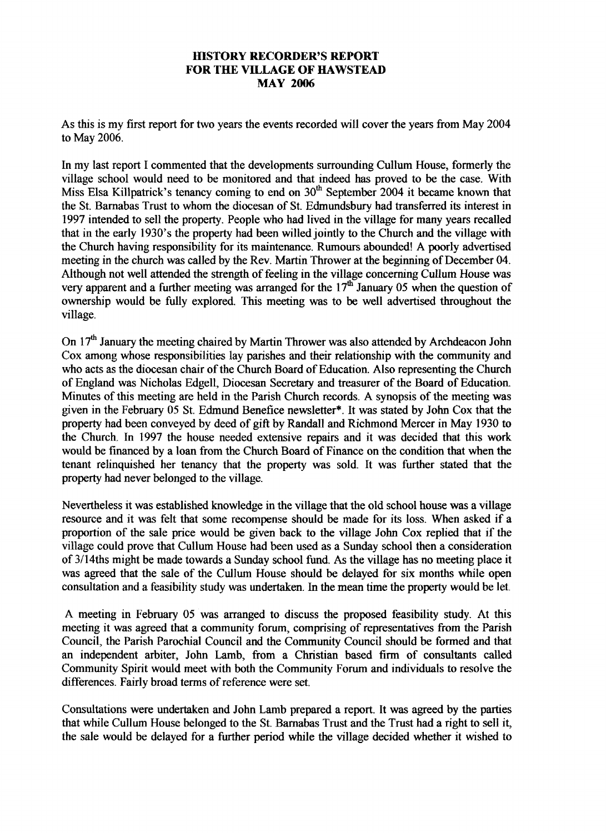## **HISTORY RECORDER'S REPORT FOR THE VILLAGE OF HAWSTEAD MAY 2006**

As this is my first report for two years the events recorded will cover the years from May 2004 to May 2006.

In my last report I commented that the developments surrounding Cullum House, formerly the village school would need to be monitored and that indeed has proved to be the case. With Miss Elsa Killpatrick's tenancy coming to end on 30<sup>th</sup> September 2004 it became known that the St. Barnabas Trust to whom the diocesan of St. Edmundsbury had transferred its interest in 1997 intended to sell the property. People who had lived in the village for many years recalled that in the early 1930's the property had been willed jointly to the Church and the village with the Church having responsibility for its maintenance. Rumours abounded! A poorly advertised meeting in the church was called by the Rev. Martin Thrower at the beginning of December 04. Although not well attended the strength of feeling in the village concerning Cullum House was very apparent and a further meeting was arranged for the 17<sup>th</sup> January 05 when the question of ownership would be fully explored. This meeting was to be well advertised throughout the village.

On 17<sup>th</sup> January the meeting chaired by Martin Thrower was also attended by Archdeacon John Cox among whose responsibilities lay parishes and their relationship with the community and who acts as the diocesan chair of the Church Board of Education. Also representing the Church of England was Nicholas Edgell, Diocesan Secretary and treasurer of the Board of Education. Minutes of this meeting are held in the Parish Church records. A synopsis of the meeting was given in the February 05 St. Edmund Benefice newsletter\*. It was stated by John Cox that the property had been conveyed by deed of gift by Randall and Richmond Mercer in May 1930 to the Church. In 1997 the house needed extensive repairs and it was decided that this work would be financed by a loan from the Church Board of Finance on the condition that when the tenant relinquished her tenancy that the property was sold. It was further stated that the property had never belonged to the village.

Nevertheless it was established knowledge in the village that the old school house was a village resource and it was felt that some recompense should be made for its loss. When asked if a proportion of the sale price would be given back to the village John Cox replied that if the village could prove that Cullum House had been used as a Sunday school then a consideration of 3/14ths might be made towards a Sunday school fund. As the village has no meeting place it was agreed that the sale of the Cullum House should be delayed for six months while open consultation and a feasibility study was undertaken. In the mean time the property would be let.

A meeting in February 05 was arranged to discuss the proposed feasibility study. At this meeting it was agreed that a community forum, comprising of representatives from the Parish Council, the Parish Parochial Council and the Community Council should be formed and that an independent arbiter, John Lamb, from a Christian based firm of consultants called Community Spirit would meet with both the Community Forum and individuals to resolve the differences. Fairly broad terms of reference were set.

Consultations were undertaken and John Lamb prepared a report. It was agreed by the parties that while Cullum House belonged to the St. Barnabas Trust and the Trust had a right to sell it, the sale would be delayed for a further period while the village decided whether it wished to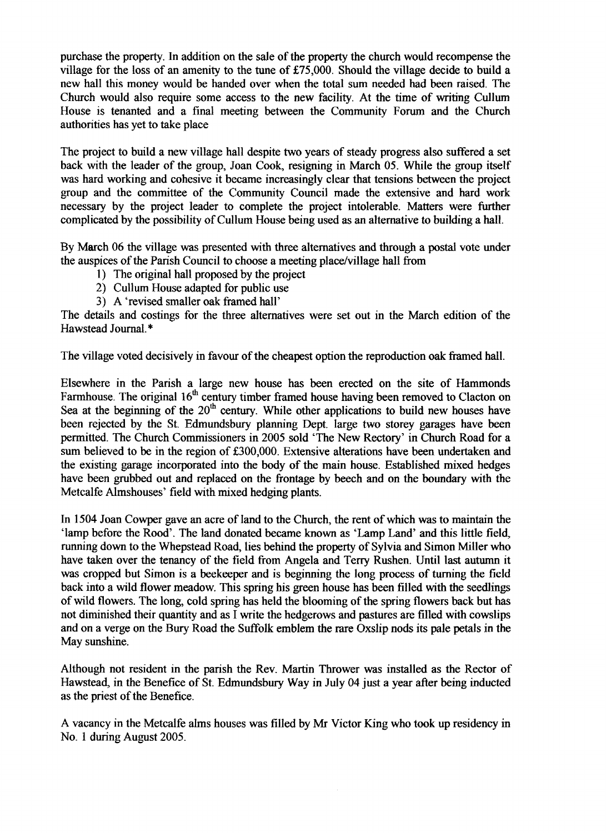purchase the property. In addition on the sale of the property the church would recompense the village for the loss of an amenity to the tune of £75,000. Should the village decide to build a new hall this money would be handed over when the total sum needed had been raised. The Church would also require some access to the new facility. At the time of writing Cullum House is tenanted and a final meeting between the Community Forum and the Church authorities has yet to take place

The project to build a new village hall despite two years of steady progress also suffered a set back with the leader of the group, Joan Cook, resigning in March 05. While the group itself was hard working and cohesive it became increasingly clear that tensions between the project group and the committee of the Community Council made the extensive and hard work necessary by the project leader to complete the project intolerable. Matters were further complicated by the possibility of Cullum House being used as an alternative to building a hall.

By March 06 the village was presented with three alternatives and through a postal vote under the auspices of the Parish Council to choose a meeting place/village hall from

- 1) The original hall proposed by the project
- 2) Cullum House adapted for public use
- 3) A 'revised smaller oak framed hall'

The details and costings for the three alternatives were set out in the March edition of the Hawstead Journal.\*

The village voted decisively in favour of the cheapest option the reproduction oak framed hall.

Elsewhere in the Parish a large new house has been erected on the site of Hammonds Farmhouse. The original  $16<sup>th</sup>$  century timber framed house having been removed to Clacton on Sea at the beginning of the  $20<sup>th</sup>$  century. While other applications to build new houses have been rejected by the St. Edmundsbury planning Dept. large two storey garages have been permitted. The Church Commissioners in 2005 sold 'The New Rectory' in Church Road for a sum believed to be in the region of £300,000. Extensive alterations have been undertaken and the existing garage incorporated into the body of the main house. Established mixed hedges have been grubbed out and replaced on the frontage by beech and on the boundary with the Metcalfe Almshouses' field with mixed hedging plants.

In 1504 Joan Cowper gave an acre of land to the Church, the rent of which was to maintain the 'lamp before the Rood'. The land donated became known as 'Lamp Land' and this little field, running down to the Whepstead Road, lies behind the property of Sylvia and Simon Miller who have taken over the tenancy of the field from Angela and Terry Rushen. Until last autumn it was cropped but Simon is a beekeeper and is beginning the long process of turning the field back into a wild flower meadow. This spring his green house has been filled with the seedlings of wild flowers. The long, cold spring has held the blooming of the spring flowers back but has not diminished their quantity and as I write the hedgerows and pastures are filled with cowslips and on a verge on the Bury Road the Suffolk emblem the rare Oxslip nods its pale petals in the May sunshine.

Although not resident in the parish the Rev. Martin Thrower was installed as the Rector of Hawstead, in the Benefice of St. Edmundsbury Way in July 04 just a year after being inducted as the priest of the Benefice.

A vacancy in the Metcalfe alms houses was filled by Mr Victor King who took up residency in No. 1 during August 2005.